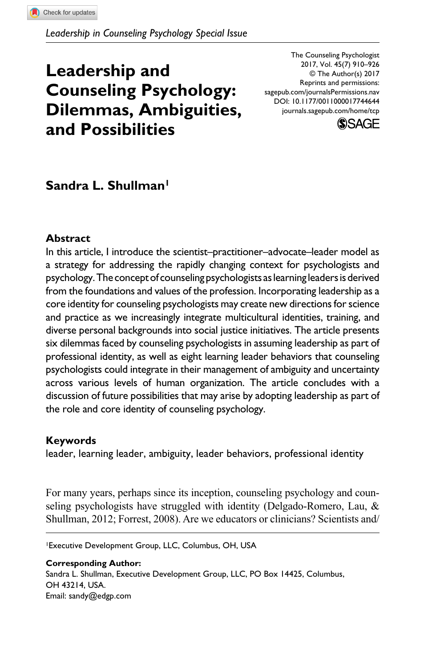# **Leadership and Counseling Psychology: Dilemmas, Ambiguities, and Possibilities**

DOI: 10.1177/0011000017744644 The Counseling Psychologist 2017, Vol. 45(7) 910–926 © The Author(s) 2017 Reprints and permissions: [sagepub.com/journalsPermissions.nav](https://us.sagepub.com/en-us/journals-permissions) [journals.sagepub.com/home/tcp](https://journals.sagepub.com/home/tcp)



# **Sandra L. Shullman1**

#### **Abstract**

In this article, I introduce the scientist–practitioner–advocate–leader model as a strategy for addressing the rapidly changing context for psychologists and psychology. The concept of counseling psychologists as learning leaders is derived from the foundations and values of the profession. Incorporating leadership as a core identity for counseling psychologists may create new directions for science and practice as we increasingly integrate multicultural identities, training, and diverse personal backgrounds into social justice initiatives. The article presents six dilemmas faced by counseling psychologists in assuming leadership as part of professional identity, as well as eight learning leader behaviors that counseling psychologists could integrate in their management of ambiguity and uncertainty across various levels of human organization. The article concludes with a discussion of future possibilities that may arise by adopting leadership as part of the role and core identity of counseling psychology.

#### **Keywords**

leader, learning leader, ambiguity, leader behaviors, professional identity

For many years, perhaps since its inception, counseling psychology and counseling psychologists have struggled with identity (Delgado-Romero, Lau, & Shullman, 2012; Forrest, 2008). Are we educators or clinicians? Scientists and/

1Executive Development Group, LLC, Columbus, OH, USA

**Corresponding Author:** Sandra L. Shullman, Executive Development Group, LLC, PO Box 14425, Columbus, OH 43214, USA. Email: [sandy@edgp.com](mailto:sandy@edgp.com)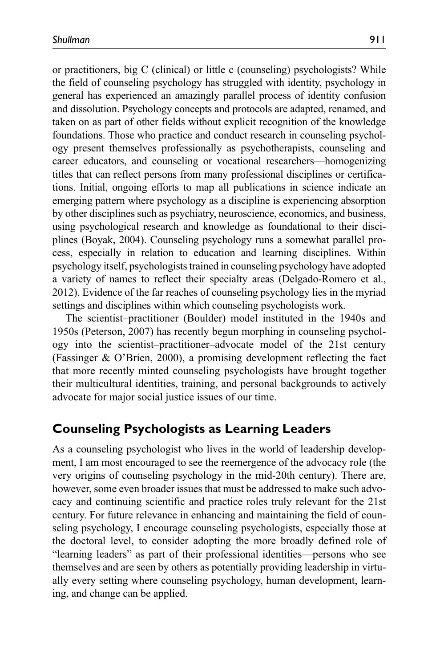or practitioners, big C (clinical) or little c (counseling) psychologists? While the field of counseling psychology has struggled with identity, psychology in general has experienced an amazingly parallel process of identity confusion and dissolution. Psychology concepts and protocols are adapted, renamed, and taken on as part of other fields without explicit recognition of the knowledge foundations. Those who practice and conduct research in counseling psychology present themselves professionally as psychotherapists, counseling and career educators, and counseling or vocational researchers—homogenizing titles that can reflect persons from many professional disciplines or certifications. Initial, ongoing efforts to map all publications in science indicate an emerging pattern where psychology as a discipline is experiencing absorption by other disciplines such as psychiatry, neuroscience, economics, and business, using psychological research and knowledge as foundational to their disciplines (Boyak, 2004). Counseling psychology runs a somewhat parallel process, especially in relation to education and learning disciplines. Within psychology itself, psychologists trained in counseling psychology have adopted a variety of names to reflect their specialty areas (Delgado-Romero et al., 2012). Evidence of the far reaches of counseling psychology lies in the myriad settings and disciplines within which counseling psychologists work.

The scientist–practitioner (Boulder) model instituted in the 1940s and 1950s (Peterson, 2007) has recently begun morphing in counseling psychology into the scientist–practitioner–advocate model of the 21st century (Fassinger & O'Brien, 2000), a promising development reflecting the fact that more recently minted counseling psychologists have brought together their multicultural identities, training, and personal backgrounds to actively advocate for major social justice issues of our time.

## **Counseling Psychologists as Learning Leaders**

As a counseling psychologist who lives in the world of leadership development, I am most encouraged to see the reemergence of the advocacy role (the very origins of counseling psychology in the mid-20th century). There are, however, some even broader issues that must be addressed to make such advocacy and continuing scientific and practice roles truly relevant for the 21st century. For future relevance in enhancing and maintaining the field of counseling psychology, I encourage counseling psychologists, especially those at the doctoral level, to consider adopting the more broadly defined role of "learning leaders" as part of their professional identities—persons who see themselves and are seen by others as potentially providing leadership in virtually every setting where counseling psychology, human development, learning, and change can be applied.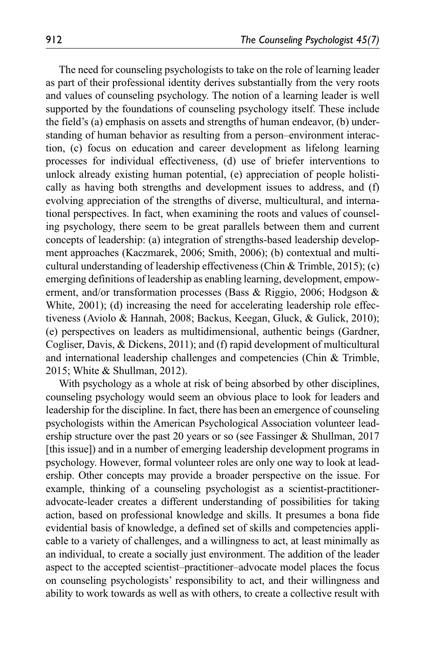The need for counseling psychologists to take on the role of learning leader as part of their professional identity derives substantially from the very roots and values of counseling psychology. The notion of a learning leader is well supported by the foundations of counseling psychology itself. These include the field's (a) emphasis on assets and strengths of human endeavor, (b) understanding of human behavior as resulting from a person–environment interaction, (c) focus on education and career development as lifelong learning processes for individual effectiveness, (d) use of briefer interventions to unlock already existing human potential, (e) appreciation of people holistically as having both strengths and development issues to address, and (f) evolving appreciation of the strengths of diverse, multicultural, and international perspectives. In fact, when examining the roots and values of counseling psychology, there seem to be great parallels between them and current concepts of leadership: (a) integration of strengths-based leadership development approaches (Kaczmarek, 2006; Smith, 2006); (b) contextual and multicultural understanding of leadership effectiveness (Chin & Trimble, 2015); (c) emerging definitions of leadership as enabling learning, development, empowerment, and/or transformation processes (Bass & Riggio, 2006; Hodgson & White, 2001); (d) increasing the need for accelerating leadership role effectiveness (Aviolo & Hannah, 2008; Backus, Keegan, Gluck, & Gulick, 2010); (e) perspectives on leaders as multidimensional, authentic beings (Gardner, Cogliser, Davis, & Dickens, 2011); and (f) rapid development of multicultural and international leadership challenges and competencies (Chin & Trimble, 2015; White & Shullman, 2012).

With psychology as a whole at risk of being absorbed by other disciplines, counseling psychology would seem an obvious place to look for leaders and leadership for the discipline. In fact, there has been an emergence of counseling psychologists within the American Psychological Association volunteer leadership structure over the past 20 years or so (see Fassinger & Shullman, 2017 [this issue]) and in a number of emerging leadership development programs in psychology. However, formal volunteer roles are only one way to look at leadership. Other concepts may provide a broader perspective on the issue. For example, thinking of a counseling psychologist as a scientist-practitioneradvocate-leader creates a different understanding of possibilities for taking action, based on professional knowledge and skills. It presumes a bona fide evidential basis of knowledge, a defined set of skills and competencies applicable to a variety of challenges, and a willingness to act, at least minimally as an individual, to create a socially just environment. The addition of the leader aspect to the accepted scientist–practitioner–advocate model places the focus on counseling psychologists' responsibility to act, and their willingness and ability to work towards as well as with others, to create a collective result with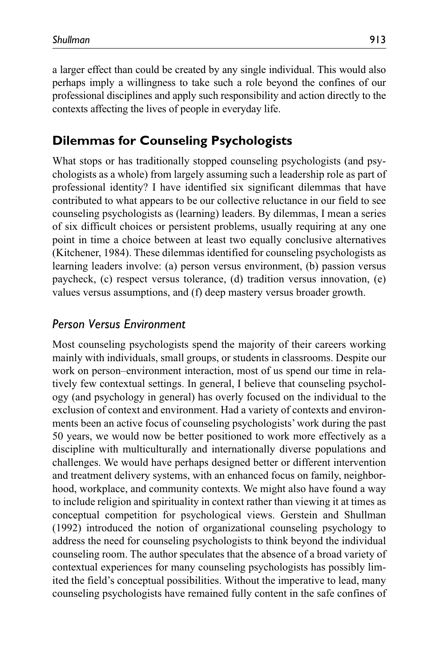a larger effect than could be created by any single individual. This would also perhaps imply a willingness to take such a role beyond the confines of our professional disciplines and apply such responsibility and action directly to the

# **Dilemmas for Counseling Psychologists**

contexts affecting the lives of people in everyday life.

What stops or has traditionally stopped counseling psychologists (and psychologists as a whole) from largely assuming such a leadership role as part of professional identity? I have identified six significant dilemmas that have contributed to what appears to be our collective reluctance in our field to see counseling psychologists as (learning) leaders. By dilemmas, I mean a series of six difficult choices or persistent problems, usually requiring at any one point in time a choice between at least two equally conclusive alternatives (Kitchener, 1984). These dilemmas identified for counseling psychologists as learning leaders involve: (a) person versus environment, (b) passion versus paycheck, (c) respect versus tolerance, (d) tradition versus innovation, (e) values versus assumptions, and (f) deep mastery versus broader growth.

## *Person Versus Environment*

Most counseling psychologists spend the majority of their careers working mainly with individuals, small groups, or students in classrooms. Despite our work on person–environment interaction, most of us spend our time in relatively few contextual settings. In general, I believe that counseling psychology (and psychology in general) has overly focused on the individual to the exclusion of context and environment. Had a variety of contexts and environments been an active focus of counseling psychologists' work during the past 50 years, we would now be better positioned to work more effectively as a discipline with multiculturally and internationally diverse populations and challenges. We would have perhaps designed better or different intervention and treatment delivery systems, with an enhanced focus on family, neighborhood, workplace, and community contexts. We might also have found a way to include religion and spirituality in context rather than viewing it at times as conceptual competition for psychological views. Gerstein and Shullman (1992) introduced the notion of organizational counseling psychology to address the need for counseling psychologists to think beyond the individual counseling room. The author speculates that the absence of a broad variety of contextual experiences for many counseling psychologists has possibly limited the field's conceptual possibilities. Without the imperative to lead, many counseling psychologists have remained fully content in the safe confines of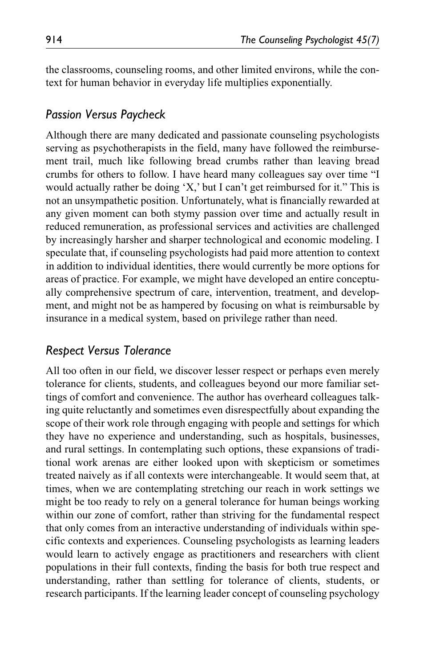the classrooms, counseling rooms, and other limited environs, while the context for human behavior in everyday life multiplies exponentially.

#### *Passion Versus Paycheck*

Although there are many dedicated and passionate counseling psychologists serving as psychotherapists in the field, many have followed the reimbursement trail, much like following bread crumbs rather than leaving bread crumbs for others to follow. I have heard many colleagues say over time "I would actually rather be doing 'X,' but I can't get reimbursed for it." This is not an unsympathetic position. Unfortunately, what is financially rewarded at any given moment can both stymy passion over time and actually result in reduced remuneration, as professional services and activities are challenged by increasingly harsher and sharper technological and economic modeling. I speculate that, if counseling psychologists had paid more attention to context in addition to individual identities, there would currently be more options for areas of practice. For example, we might have developed an entire conceptually comprehensive spectrum of care, intervention, treatment, and development, and might not be as hampered by focusing on what is reimbursable by insurance in a medical system, based on privilege rather than need.

## *Respect Versus Tolerance*

All too often in our field, we discover lesser respect or perhaps even merely tolerance for clients, students, and colleagues beyond our more familiar settings of comfort and convenience. The author has overheard colleagues talking quite reluctantly and sometimes even disrespectfully about expanding the scope of their work role through engaging with people and settings for which they have no experience and understanding, such as hospitals, businesses, and rural settings. In contemplating such options, these expansions of traditional work arenas are either looked upon with skepticism or sometimes treated naively as if all contexts were interchangeable. It would seem that, at times, when we are contemplating stretching our reach in work settings we might be too ready to rely on a general tolerance for human beings working within our zone of comfort, rather than striving for the fundamental respect that only comes from an interactive understanding of individuals within specific contexts and experiences. Counseling psychologists as learning leaders would learn to actively engage as practitioners and researchers with client populations in their full contexts, finding the basis for both true respect and understanding, rather than settling for tolerance of clients, students, or research participants. If the learning leader concept of counseling psychology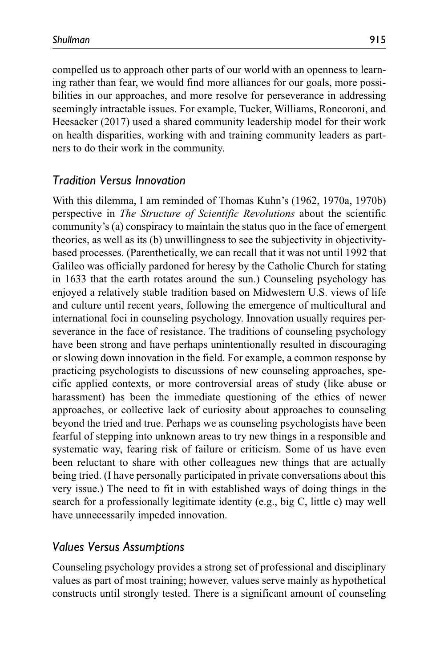compelled us to approach other parts of our world with an openness to learning rather than fear, we would find more alliances for our goals, more possibilities in our approaches, and more resolve for perseverance in addressing seemingly intractable issues. For example, Tucker, Williams, Roncoroni, and Heesacker (2017) used a shared community leadership model for their work on health disparities, working with and training community leaders as partners to do their work in the community.

#### *Tradition Versus Innovation*

With this dilemma, I am reminded of Thomas Kuhn's (1962, 1970a, 1970b) perspective in *The Structure of Scientific Revolutions* about the scientific community's (a) conspiracy to maintain the status quo in the face of emergent theories, as well as its (b) unwillingness to see the subjectivity in objectivitybased processes. (Parenthetically, we can recall that it was not until 1992 that Galileo was officially pardoned for heresy by the Catholic Church for stating in 1633 that the earth rotates around the sun.) Counseling psychology has enjoyed a relatively stable tradition based on Midwestern U.S. views of life and culture until recent years, following the emergence of multicultural and international foci in counseling psychology. Innovation usually requires perseverance in the face of resistance. The traditions of counseling psychology have been strong and have perhaps unintentionally resulted in discouraging or slowing down innovation in the field. For example, a common response by practicing psychologists to discussions of new counseling approaches, specific applied contexts, or more controversial areas of study (like abuse or harassment) has been the immediate questioning of the ethics of newer approaches, or collective lack of curiosity about approaches to counseling beyond the tried and true. Perhaps we as counseling psychologists have been fearful of stepping into unknown areas to try new things in a responsible and systematic way, fearing risk of failure or criticism. Some of us have even been reluctant to share with other colleagues new things that are actually being tried. (I have personally participated in private conversations about this very issue.) The need to fit in with established ways of doing things in the search for a professionally legitimate identity (e.g., big C, little c) may well have unnecessarily impeded innovation.

#### *Values Versus Assumptions*

Counseling psychology provides a strong set of professional and disciplinary values as part of most training; however, values serve mainly as hypothetical constructs until strongly tested. There is a significant amount of counseling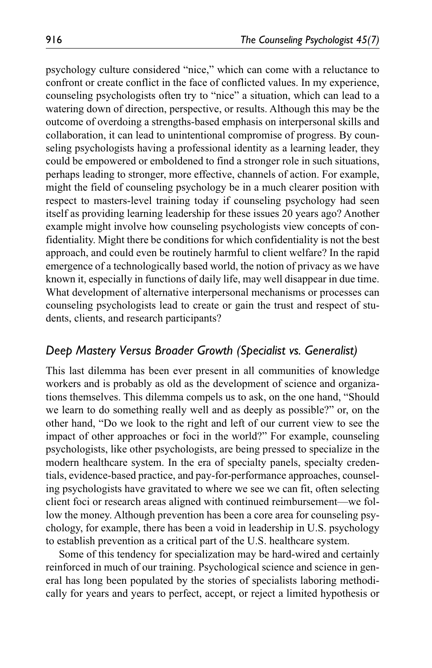psychology culture considered "nice," which can come with a reluctance to confront or create conflict in the face of conflicted values. In my experience, counseling psychologists often try to "nice" a situation, which can lead to a watering down of direction, perspective, or results. Although this may be the outcome of overdoing a strengths-based emphasis on interpersonal skills and collaboration, it can lead to unintentional compromise of progress. By counseling psychologists having a professional identity as a learning leader, they could be empowered or emboldened to find a stronger role in such situations, perhaps leading to stronger, more effective, channels of action. For example, might the field of counseling psychology be in a much clearer position with respect to masters-level training today if counseling psychology had seen itself as providing learning leadership for these issues 20 years ago? Another example might involve how counseling psychologists view concepts of confidentiality. Might there be conditions for which confidentiality is not the best approach, and could even be routinely harmful to client welfare? In the rapid emergence of a technologically based world, the notion of privacy as we have known it, especially in functions of daily life, may well disappear in due time. What development of alternative interpersonal mechanisms or processes can counseling psychologists lead to create or gain the trust and respect of students, clients, and research participants?

## *Deep Mastery Versus Broader Growth (Specialist vs. Generalist)*

This last dilemma has been ever present in all communities of knowledge workers and is probably as old as the development of science and organizations themselves. This dilemma compels us to ask, on the one hand, "Should we learn to do something really well and as deeply as possible?" or, on the other hand, "Do we look to the right and left of our current view to see the impact of other approaches or foci in the world?" For example, counseling psychologists, like other psychologists, are being pressed to specialize in the modern healthcare system. In the era of specialty panels, specialty credentials, evidence-based practice, and pay-for-performance approaches, counseling psychologists have gravitated to where we see we can fit, often selecting client foci or research areas aligned with continued reimbursement—we follow the money. Although prevention has been a core area for counseling psychology, for example, there has been a void in leadership in U.S. psychology to establish prevention as a critical part of the U.S. healthcare system.

Some of this tendency for specialization may be hard-wired and certainly reinforced in much of our training. Psychological science and science in general has long been populated by the stories of specialists laboring methodically for years and years to perfect, accept, or reject a limited hypothesis or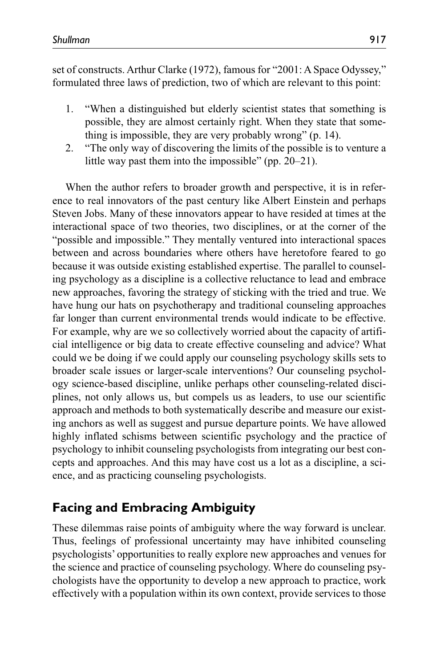set of constructs. Arthur Clarke (1972), famous for "2001: A Space Odyssey," formulated three laws of prediction, two of which are relevant to this point:

- 1. "When a distinguished but elderly scientist states that something is possible, they are almost certainly right. When they state that something is impossible, they are very probably wrong" (p. 14).
- 2. "The only way of discovering the limits of the possible is to venture a little way past them into the impossible" (pp. 20–21).

When the author refers to broader growth and perspective, it is in reference to real innovators of the past century like Albert Einstein and perhaps Steven Jobs. Many of these innovators appear to have resided at times at the interactional space of two theories, two disciplines, or at the corner of the "possible and impossible." They mentally ventured into interactional spaces between and across boundaries where others have heretofore feared to go because it was outside existing established expertise. The parallel to counseling psychology as a discipline is a collective reluctance to lead and embrace new approaches, favoring the strategy of sticking with the tried and true. We have hung our hats on psychotherapy and traditional counseling approaches far longer than current environmental trends would indicate to be effective. For example, why are we so collectively worried about the capacity of artificial intelligence or big data to create effective counseling and advice? What could we be doing if we could apply our counseling psychology skills sets to broader scale issues or larger-scale interventions? Our counseling psychology science-based discipline, unlike perhaps other counseling-related disciplines, not only allows us, but compels us as leaders, to use our scientific approach and methods to both systematically describe and measure our existing anchors as well as suggest and pursue departure points. We have allowed highly inflated schisms between scientific psychology and the practice of psychology to inhibit counseling psychologists from integrating our best concepts and approaches. And this may have cost us a lot as a discipline, a science, and as practicing counseling psychologists.

# **Facing and Embracing Ambiguity**

These dilemmas raise points of ambiguity where the way forward is unclear. Thus, feelings of professional uncertainty may have inhibited counseling psychologists' opportunities to really explore new approaches and venues for the science and practice of counseling psychology. Where do counseling psychologists have the opportunity to develop a new approach to practice, work effectively with a population within its own context, provide services to those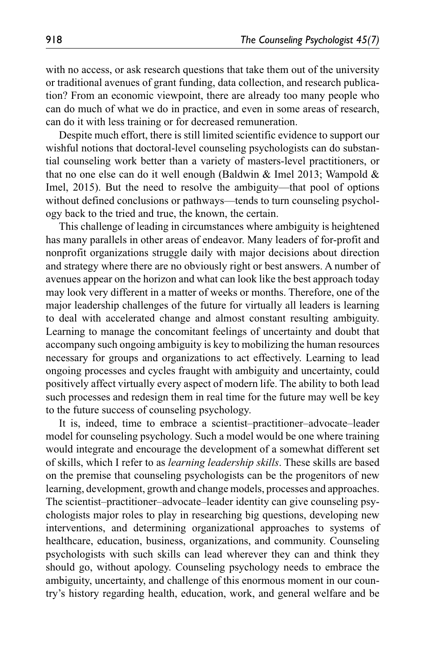with no access, or ask research questions that take them out of the university or traditional avenues of grant funding, data collection, and research publication? From an economic viewpoint, there are already too many people who can do much of what we do in practice, and even in some areas of research, can do it with less training or for decreased remuneration.

Despite much effort, there is still limited scientific evidence to support our wishful notions that doctoral-level counseling psychologists can do substantial counseling work better than a variety of masters-level practitioners, or that no one else can do it well enough (Baldwin & Imel 2013; Wampold & Imel, 2015). But the need to resolve the ambiguity—that pool of options without defined conclusions or pathways—tends to turn counseling psychology back to the tried and true, the known, the certain.

This challenge of leading in circumstances where ambiguity is heightened has many parallels in other areas of endeavor. Many leaders of for-profit and nonprofit organizations struggle daily with major decisions about direction and strategy where there are no obviously right or best answers. A number of avenues appear on the horizon and what can look like the best approach today may look very different in a matter of weeks or months. Therefore, one of the major leadership challenges of the future for virtually all leaders is learning to deal with accelerated change and almost constant resulting ambiguity. Learning to manage the concomitant feelings of uncertainty and doubt that accompany such ongoing ambiguity is key to mobilizing the human resources necessary for groups and organizations to act effectively. Learning to lead ongoing processes and cycles fraught with ambiguity and uncertainty, could positively affect virtually every aspect of modern life. The ability to both lead such processes and redesign them in real time for the future may well be key to the future success of counseling psychology.

It is, indeed, time to embrace a scientist–practitioner–advocate–leader model for counseling psychology. Such a model would be one where training would integrate and encourage the development of a somewhat different set of skills, which I refer to as *learning leadership skills*. These skills are based on the premise that counseling psychologists can be the progenitors of new learning, development, growth and change models, processes and approaches. The scientist–practitioner–advocate–leader identity can give counseling psychologists major roles to play in researching big questions, developing new interventions, and determining organizational approaches to systems of healthcare, education, business, organizations, and community. Counseling psychologists with such skills can lead wherever they can and think they should go, without apology. Counseling psychology needs to embrace the ambiguity, uncertainty, and challenge of this enormous moment in our country's history regarding health, education, work, and general welfare and be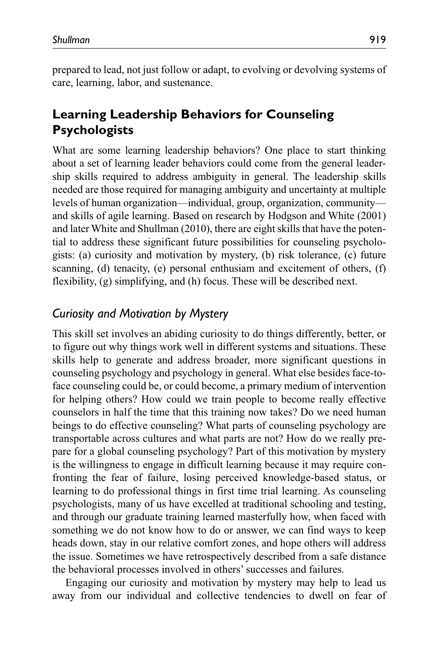prepared to lead, not just follow or adapt, to evolving or devolving systems of care, learning, labor, and sustenance.

# **Learning Leadership Behaviors for Counseling Psychologists**

What are some learning leadership behaviors? One place to start thinking about a set of learning leader behaviors could come from the general leadership skills required to address ambiguity in general. The leadership skills needed are those required for managing ambiguity and uncertainty at multiple levels of human organization—individual, group, organization, community and skills of agile learning. Based on research by Hodgson and White (2001) and later White and Shullman (2010), there are eight skills that have the potential to address these significant future possibilities for counseling psychologists: (a) curiosity and motivation by mystery, (b) risk tolerance, (c) future scanning, (d) tenacity, (e) personal enthusiam and excitement of others, (f) flexibility, (g) simplifying, and (h) focus. These will be described next.

#### *Curiosity and Motivation by Mystery*

This skill set involves an abiding curiosity to do things differently, better, or to figure out why things work well in different systems and situations. These skills help to generate and address broader, more significant questions in counseling psychology and psychology in general. What else besides face-toface counseling could be, or could become, a primary medium of intervention for helping others? How could we train people to become really effective counselors in half the time that this training now takes? Do we need human beings to do effective counseling? What parts of counseling psychology are transportable across cultures and what parts are not? How do we really prepare for a global counseling psychology? Part of this motivation by mystery is the willingness to engage in difficult learning because it may require confronting the fear of failure, losing perceived knowledge-based status, or learning to do professional things in first time trial learning. As counseling psychologists, many of us have excelled at traditional schooling and testing, and through our graduate training learned masterfully how, when faced with something we do not know how to do or answer, we can find ways to keep heads down, stay in our relative comfort zones, and hope others will address the issue. Sometimes we have retrospectively described from a safe distance the behavioral processes involved in others' successes and failures.

Engaging our curiosity and motivation by mystery may help to lead us away from our individual and collective tendencies to dwell on fear of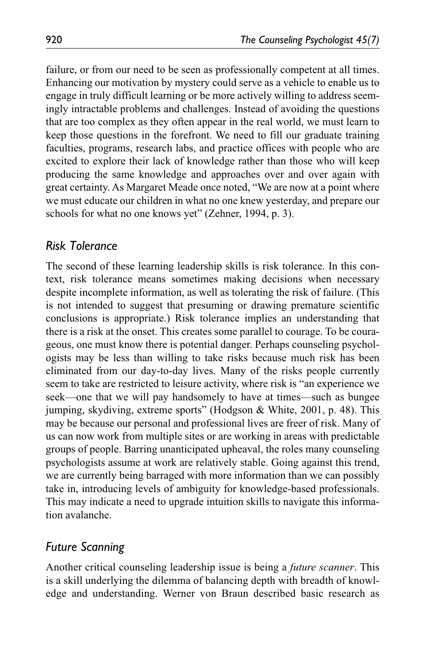failure, or from our need to be seen as professionally competent at all times. Enhancing our motivation by mystery could serve as a vehicle to enable us to engage in truly difficult learning or be more actively willing to address seemingly intractable problems and challenges. Instead of avoiding the questions that are too complex as they often appear in the real world, we must learn to keep those questions in the forefront. We need to fill our graduate training faculties, programs, research labs, and practice offices with people who are excited to explore their lack of knowledge rather than those who will keep producing the same knowledge and approaches over and over again with great certainty. As Margaret Meade once noted, "We are now at a point where we must educate our children in what no one knew yesterday, and prepare our schools for what no one knows yet" (Zehner, 1994, p. 3).

#### *Risk Tolerance*

The second of these learning leadership skills is risk tolerance. In this context, risk tolerance means sometimes making decisions when necessary despite incomplete information, as well as tolerating the risk of failure. (This is not intended to suggest that presuming or drawing premature scientific conclusions is appropriate.) Risk tolerance implies an understanding that there is a risk at the onset. This creates some parallel to courage. To be courageous, one must know there is potential danger. Perhaps counseling psychologists may be less than willing to take risks because much risk has been eliminated from our day-to-day lives. Many of the risks people currently seem to take are restricted to leisure activity, where risk is "an experience we seek—one that we will pay handsomely to have at times—such as bungee jumping, skydiving, extreme sports" (Hodgson & White, 2001, p. 48). This may be because our personal and professional lives are freer of risk. Many of us can now work from multiple sites or are working in areas with predictable groups of people. Barring unanticipated upheaval, the roles many counseling psychologists assume at work are relatively stable. Going against this trend, we are currently being barraged with more information than we can possibly take in, introducing levels of ambiguity for knowledge-based professionals. This may indicate a need to upgrade intuition skills to navigate this information avalanche.

## *Future Scanning*

Another critical counseling leadership issue is being a *future scanner*. This is a skill underlying the dilemma of balancing depth with breadth of knowledge and understanding. Werner von Braun described basic research as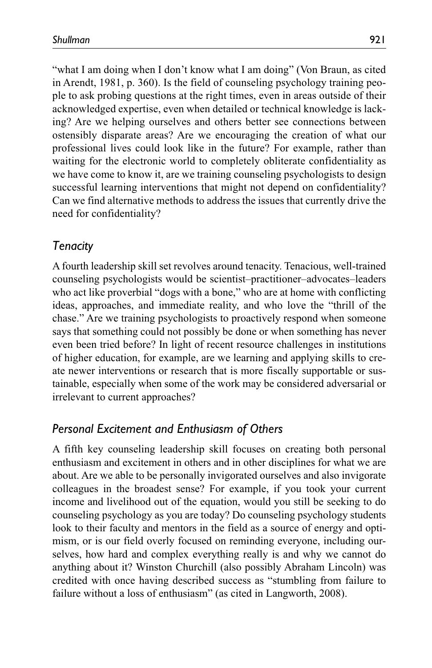"what I am doing when I don't know what I am doing" (Von Braun, as cited in Arendt, 1981, p. 360). Is the field of counseling psychology training people to ask probing questions at the right times, even in areas outside of their acknowledged expertise, even when detailed or technical knowledge is lacking? Are we helping ourselves and others better see connections between ostensibly disparate areas? Are we encouraging the creation of what our professional lives could look like in the future? For example, rather than waiting for the electronic world to completely obliterate confidentiality as we have come to know it, are we training counseling psychologists to design successful learning interventions that might not depend on confidentiality? Can we find alternative methods to address the issues that currently drive the need for confidentiality?

## *Tenacity*

A fourth leadership skill set revolves around tenacity. Tenacious, well-trained counseling psychologists would be scientist–practitioner–advocates–leaders who act like proverbial "dogs with a bone," who are at home with conflicting ideas, approaches, and immediate reality, and who love the "thrill of the chase." Are we training psychologists to proactively respond when someone says that something could not possibly be done or when something has never even been tried before? In light of recent resource challenges in institutions of higher education, for example, are we learning and applying skills to create newer interventions or research that is more fiscally supportable or sustainable, especially when some of the work may be considered adversarial or irrelevant to current approaches?

# *Personal Excitement and Enthusiasm of Others*

A fifth key counseling leadership skill focuses on creating both personal enthusiasm and excitement in others and in other disciplines for what we are about. Are we able to be personally invigorated ourselves and also invigorate colleagues in the broadest sense? For example, if you took your current income and livelihood out of the equation, would you still be seeking to do counseling psychology as you are today? Do counseling psychology students look to their faculty and mentors in the field as a source of energy and optimism, or is our field overly focused on reminding everyone, including ourselves, how hard and complex everything really is and why we cannot do anything about it? Winston Churchill (also possibly Abraham Lincoln) was credited with once having described success as "stumbling from failure to failure without a loss of enthusiasm" (as cited in Langworth, 2008).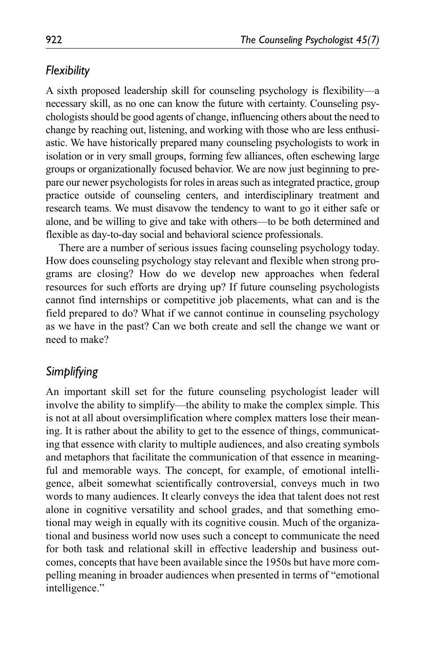## *Flexibility*

A sixth proposed leadership skill for counseling psychology is flexibility—a necessary skill, as no one can know the future with certainty. Counseling psychologists should be good agents of change, influencing others about the need to change by reaching out, listening, and working with those who are less enthusiastic. We have historically prepared many counseling psychologists to work in isolation or in very small groups, forming few alliances, often eschewing large groups or organizationally focused behavior. We are now just beginning to prepare our newer psychologists for roles in areas such as integrated practice, group practice outside of counseling centers, and interdisciplinary treatment and research teams. We must disavow the tendency to want to go it either safe or alone, and be willing to give and take with others—to be both determined and flexible as day-to-day social and behavioral science professionals.

There are a number of serious issues facing counseling psychology today. How does counseling psychology stay relevant and flexible when strong programs are closing? How do we develop new approaches when federal resources for such efforts are drying up? If future counseling psychologists cannot find internships or competitive job placements, what can and is the field prepared to do? What if we cannot continue in counseling psychology as we have in the past? Can we both create and sell the change we want or need to make?

# *Simplifying*

An important skill set for the future counseling psychologist leader will involve the ability to simplify—the ability to make the complex simple. This is not at all about oversimplification where complex matters lose their meaning. It is rather about the ability to get to the essence of things, communicating that essence with clarity to multiple audiences, and also creating symbols and metaphors that facilitate the communication of that essence in meaningful and memorable ways. The concept, for example, of emotional intelligence, albeit somewhat scientifically controversial, conveys much in two words to many audiences. It clearly conveys the idea that talent does not rest alone in cognitive versatility and school grades, and that something emotional may weigh in equally with its cognitive cousin. Much of the organizational and business world now uses such a concept to communicate the need for both task and relational skill in effective leadership and business outcomes, concepts that have been available since the 1950s but have more compelling meaning in broader audiences when presented in terms of "emotional intelligence."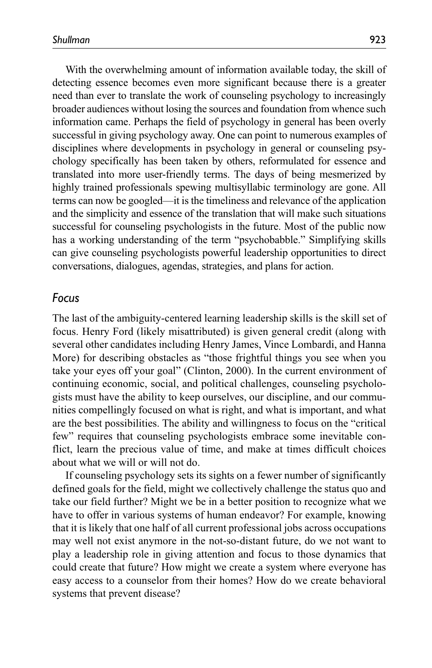With the overwhelming amount of information available today, the skill of detecting essence becomes even more significant because there is a greater need than ever to translate the work of counseling psychology to increasingly broader audiences without losing the sources and foundation from whence such information came. Perhaps the field of psychology in general has been overly successful in giving psychology away. One can point to numerous examples of disciplines where developments in psychology in general or counseling psychology specifically has been taken by others, reformulated for essence and translated into more user-friendly terms. The days of being mesmerized by highly trained professionals spewing multisyllabic terminology are gone. All terms can now be googled—it is the timeliness and relevance of the application and the simplicity and essence of the translation that will make such situations successful for counseling psychologists in the future. Most of the public now has a working understanding of the term "psychobabble." Simplifying skills can give counseling psychologists powerful leadership opportunities to direct conversations, dialogues, agendas, strategies, and plans for action.

#### *Focus*

The last of the ambiguity-centered learning leadership skills is the skill set of focus. Henry Ford (likely misattributed) is given general credit (along with several other candidates including Henry James, Vince Lombardi, and Hanna More) for describing obstacles as "those frightful things you see when you take your eyes off your goal" (Clinton, 2000). In the current environment of continuing economic, social, and political challenges, counseling psychologists must have the ability to keep ourselves, our discipline, and our communities compellingly focused on what is right, and what is important, and what are the best possibilities. The ability and willingness to focus on the "critical few" requires that counseling psychologists embrace some inevitable conflict, learn the precious value of time, and make at times difficult choices about what we will or will not do.

If counseling psychology sets its sights on a fewer number of significantly defined goals for the field, might we collectively challenge the status quo and take our field further? Might we be in a better position to recognize what we have to offer in various systems of human endeavor? For example, knowing that it is likely that one half of all current professional jobs across occupations may well not exist anymore in the not-so-distant future, do we not want to play a leadership role in giving attention and focus to those dynamics that could create that future? How might we create a system where everyone has easy access to a counselor from their homes? How do we create behavioral systems that prevent disease?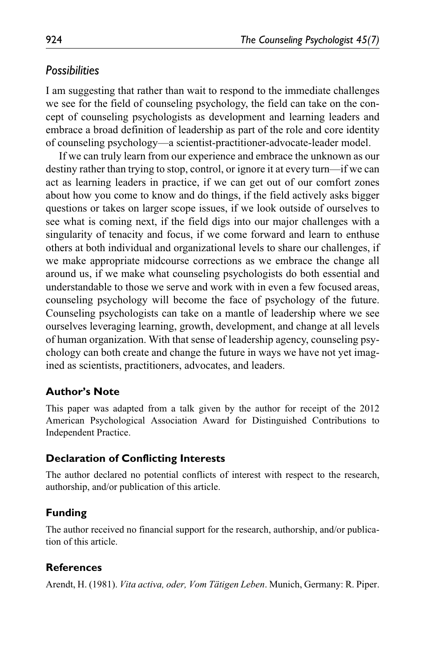## *Possibilities*

I am suggesting that rather than wait to respond to the immediate challenges we see for the field of counseling psychology, the field can take on the concept of counseling psychologists as development and learning leaders and embrace a broad definition of leadership as part of the role and core identity of counseling psychology—a scientist-practitioner-advocate-leader model.

If we can truly learn from our experience and embrace the unknown as our destiny rather than trying to stop, control, or ignore it at every turn—if we can act as learning leaders in practice, if we can get out of our comfort zones about how you come to know and do things, if the field actively asks bigger questions or takes on larger scope issues, if we look outside of ourselves to see what is coming next, if the field digs into our major challenges with a singularity of tenacity and focus, if we come forward and learn to enthuse others at both individual and organizational levels to share our challenges, if we make appropriate midcourse corrections as we embrace the change all around us, if we make what counseling psychologists do both essential and understandable to those we serve and work with in even a few focused areas, counseling psychology will become the face of psychology of the future. Counseling psychologists can take on a mantle of leadership where we see ourselves leveraging learning, growth, development, and change at all levels of human organization. With that sense of leadership agency, counseling psychology can both create and change the future in ways we have not yet imagined as scientists, practitioners, advocates, and leaders.

#### **Author's Note**

This paper was adapted from a talk given by the author for receipt of the 2012 American Psychological Association Award for Distinguished Contributions to Independent Practice.

#### **Declaration of Conflicting Interests**

The author declared no potential conflicts of interest with respect to the research, authorship, and/or publication of this article.

## **Funding**

The author received no financial support for the research, authorship, and/or publication of this article.

## **References**

Arendt, H. (1981). *Vita activa, oder, Vom Tätigen Leben*. Munich, Germany: R. Piper.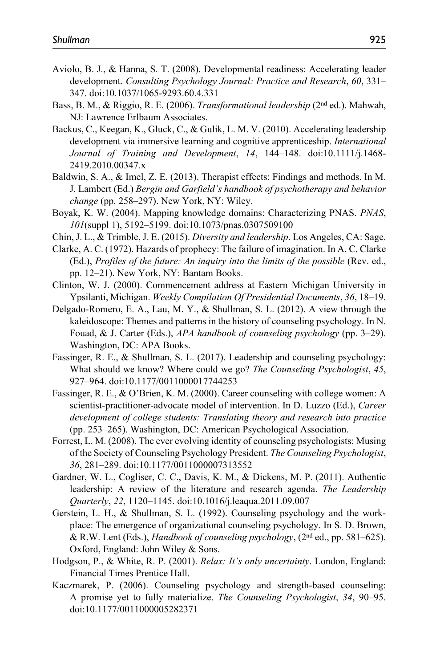- Aviolo, B. J., & Hanna, S. T. (2008). Developmental readiness: Accelerating leader development. *Consulting Psychology Journal: Practice and Research*, *60*, 331– 347. doi:10.1037/1065-9293.60.4.331
- Bass, B. M., & Riggio, R. E. (2006). *Transformational leadership* (2nd ed.). Mahwah, NJ: Lawrence Erlbaum Associates.
- Backus, C., Keegan, K., Gluck, C., & Gulik, L. M. V. (2010). Accelerating leadership development via immersive learning and cognitive apprenticeship. *International Journal of Training and Development*, *14*, 144–148. doi:10.1111/j.1468- 2419.2010.00347.x
- Baldwin, S. A., & Imel, Z. E. (2013). Therapist effects: Findings and methods. In M. J. Lambert (Ed.) *Bergin and Garfield's handbook of psychotherapy and behavior change* (pp. 258–297). New York, NY: Wiley.
- Boyak, K. W. (2004). Mapping knowledge domains: Characterizing PNAS. *PNAS*, *101*(suppl 1), 5192–5199. doi:10.1073/pnas.0307509100
- Chin, J. L., & Trimble, J. E. (2015). *Diversity and leadership*. Los Angeles, CA: Sage.
- Clarke, A. C. (1972). Hazards of prophecy: The failure of imagination. In A. C. Clarke (Ed.), *Profiles of the future: An inquiry into the limits of the possible* (Rev. ed., pp. 12–21). New York, NY: Bantam Books.
- Clinton, W. J. (2000). Commencement address at Eastern Michigan University in Ypsilanti, Michigan. *Weekly Compilation Of Presidential Documents*, *36*, 18–19.
- Delgado-Romero, E. A., Lau, M. Y., & Shullman, S. L. (2012). A view through the kaleidoscope: Themes and patterns in the history of counseling psychology. In N. Fouad, & J. Carter (Eds.), *APA handbook of counseling psychology* (pp. 3–29). Washington, DC: APA Books.
- Fassinger, R. E., & Shullman, S. L. (2017). Leadership and counseling psychology: What should we know? Where could we go? *The Counseling Psychologist*, *45*, 927–964. doi:10.1177/0011000017744253
- Fassinger, R. E., & O'Brien, K. M. (2000). Career counseling with college women: A scientist-practitioner-advocate model of intervention. In D. Luzzo (Ed.), *Career development of college students: Translating theory and research into practice* (pp. 253–265). Washington, DC: American Psychological Association.
- Forrest, L. M. (2008). The ever evolving identity of counseling psychologists: Musing of the Society of Counseling Psychology President. *The Counseling Psychologist*, *36*, 281–289. doi:10.1177/0011000007313552
- Gardner, W. L., Cogliser, C. C., Davis, K. M., & Dickens, M. P. (2011). Authentic leadership: A review of the literature and research agenda. *The Leadership Quarterly*, *22*, 1120–1145. doi:10.1016/j.leaqua.2011.09.007
- Gerstein, L. H., & Shullman, S. L. (1992). Counseling psychology and the workplace: The emergence of organizational counseling psychology. In S. D. Brown, & R.W. Lent (Eds.), *Handbook of counseling psychology*, (2nd ed., pp. 581–625). Oxford, England: John Wiley & Sons.
- Hodgson, P., & White, R. P. (2001). *Relax: It's only uncertainty*. London, England: Financial Times Prentice Hall.
- Kaczmarek, P. (2006). Counseling psychology and strength-based counseling: A promise yet to fully materialize. *The Counseling Psychologist*, *34*, 90–95. doi:10.1177/0011000005282371